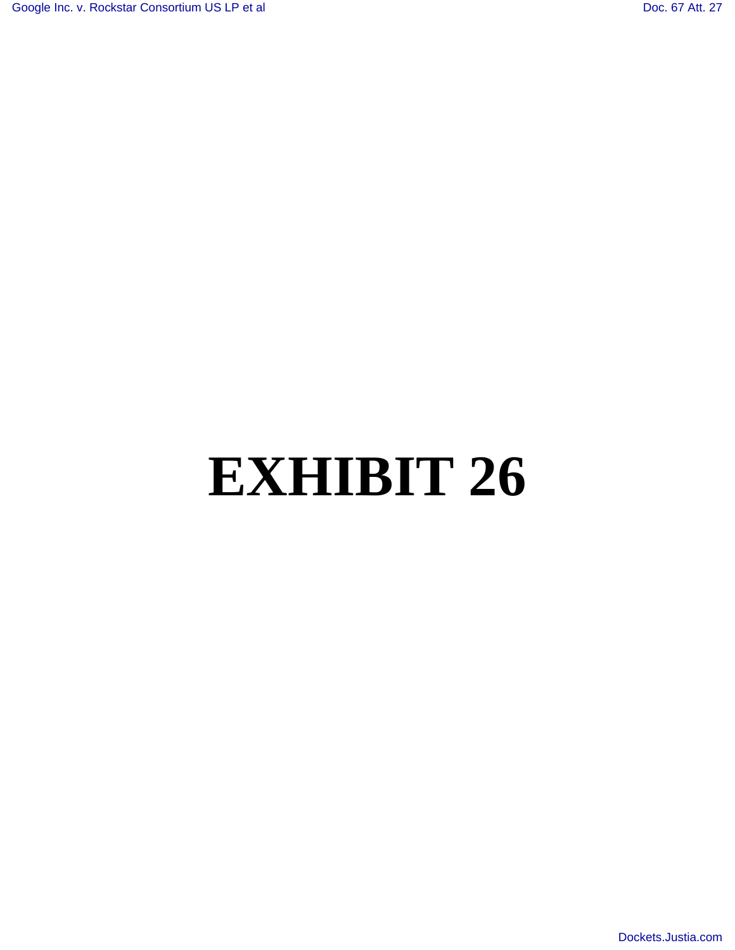# **EXHIBIT 26**

[Dockets.Justia.com](http://dockets.justia.com/)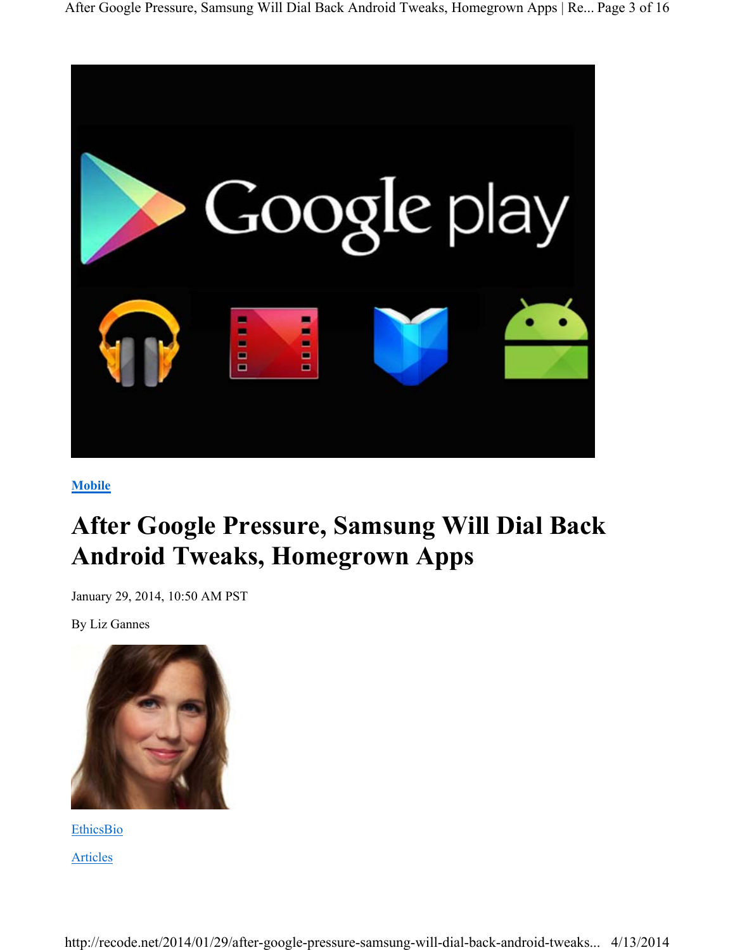

**Mobile**

# **After Google Pressure, Samsung Will Dial Back Android Tweaks, Homegrown Apps**

January 29, 2014, 10:50 AM PST

By Liz Gannes



**EthicsBio** Articles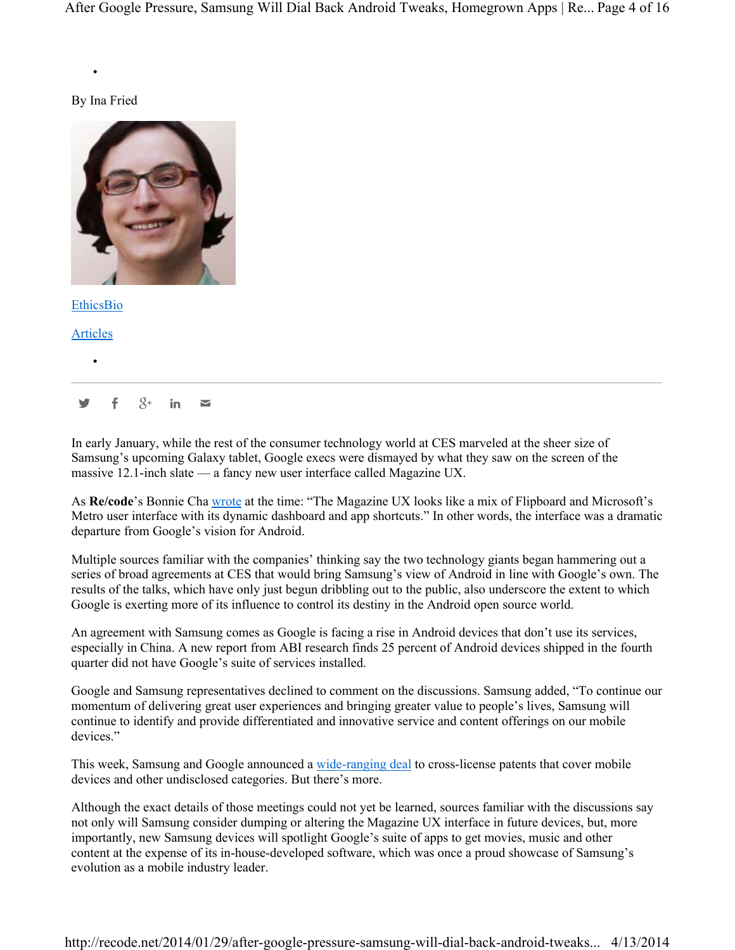#### By Ina Fried

•



EthicsBio

Articles

•

 $\mathbf{y}$  f  $8$ + in  $\mathbf{z}$ 

In early January, while the rest of the consumer technology world at CES marveled at the sheer size of Samsung's upcoming Galaxy tablet, Google execs were dismayed by what they saw on the screen of the massive 12.1-inch slate — a fancy new user interface called Magazine UX.

As **Re/code**'s Bonnie Cha wrote at the time: "The Magazine UX looks like a mix of Flipboard and Microsoft's Metro user interface with its dynamic dashboard and app shortcuts." In other words, the interface was a dramatic departure from Google's vision for Android.

Multiple sources familiar with the companies' thinking say the two technology giants began hammering out a series of broad agreements at CES that would bring Samsung's view of Android in line with Google's own. The results of the talks, which have only just begun dribbling out to the public, also underscore the extent to which Google is exerting more of its influence to control its destiny in the Android open source world.

An agreement with Samsung comes as Google is facing a rise in Android devices that don't use its services, especially in China. A new report from ABI research finds 25 percent of Android devices shipped in the fourth quarter did not have Google's suite of services installed.

Google and Samsung representatives declined to comment on the discussions. Samsung added, "To continue our momentum of delivering great user experiences and bringing greater value to people's lives, Samsung will continue to identify and provide differentiated and innovative service and content offerings on our mobile devices."

This week, Samsung and Google announced a wide-ranging deal to cross-license patents that cover mobile devices and other undisclosed categories. But there's more.

Although the exact details of those meetings could not yet be learned, sources familiar with the discussions say not only will Samsung consider dumping or altering the Magazine UX interface in future devices, but, more importantly, new Samsung devices will spotlight Google's suite of apps to get movies, music and other content at the expense of its in-house-developed software, which was once a proud showcase of Samsung's evolution as a mobile industry leader.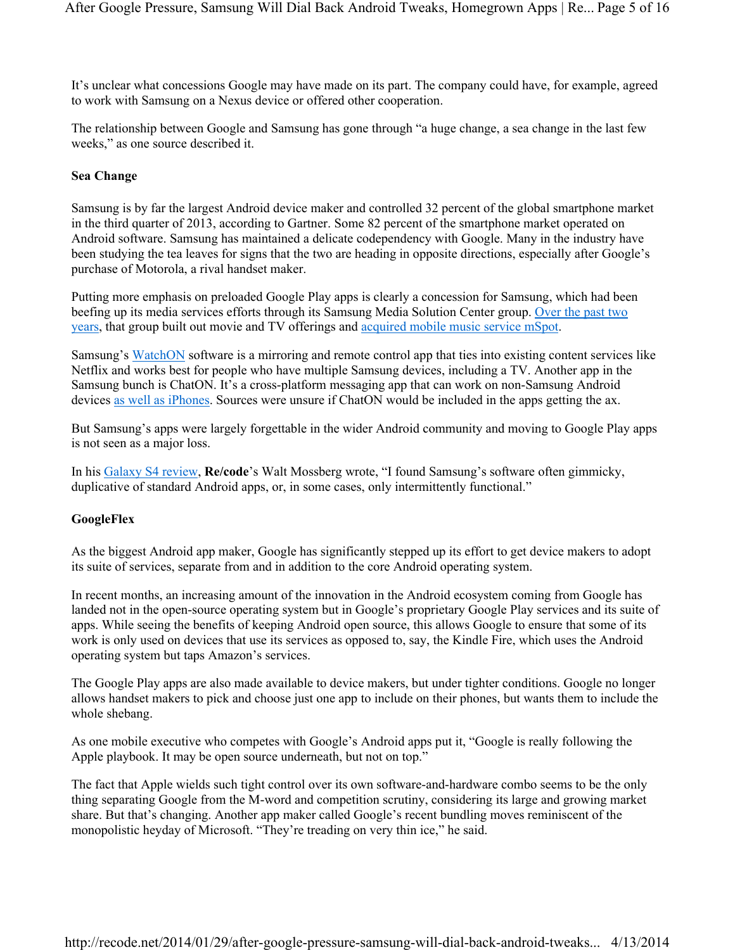It's unclear what concessions Google may have made on its part. The company could have, for example, agreed to work with Samsung on a Nexus device or offered other cooperation.

The relationship between Google and Samsung has gone through "a huge change, a sea change in the last few weeks," as one source described it.

## **Sea Change**

Samsung is by far the largest Android device maker and controlled 32 percent of the global smartphone market in the third quarter of 2013, according to Gartner. Some 82 percent of the smartphone market operated on Android software. Samsung has maintained a delicate codependency with Google. Many in the industry have been studying the tea leaves for signs that the two are heading in opposite directions, especially after Google's purchase of Motorola, a rival handset maker.

Putting more emphasis on preloaded Google Play apps is clearly a concession for Samsung, which had been beefing up its media services efforts through its Samsung Media Solution Center group. Over the past two years, that group built out movie and TV offerings and acquired mobile music service mSpot.

Samsung's WatchON software is a mirroring and remote control app that ties into existing content services like Netflix and works best for people who have multiple Samsung devices, including a TV. Another app in the Samsung bunch is ChatON. It's a cross-platform messaging app that can work on non-Samsung Android devices as well as iPhones. Sources were unsure if ChatON would be included in the apps getting the ax.

But Samsung's apps were largely forgettable in the wider Android community and moving to Google Play apps is not seen as a major loss.

In his Galaxy S4 review, **Re/code**'s Walt Mossberg wrote, "I found Samsung's software often gimmicky, duplicative of standard Android apps, or, in some cases, only intermittently functional."

#### **GoogleFlex**

As the biggest Android app maker, Google has significantly stepped up its effort to get device makers to adopt its suite of services, separate from and in addition to the core Android operating system.

In recent months, an increasing amount of the innovation in the Android ecosystem coming from Google has landed not in the open-source operating system but in Google's proprietary Google Play services and its suite of apps. While seeing the benefits of keeping Android open source, this allows Google to ensure that some of its work is only used on devices that use its services as opposed to, say, the Kindle Fire, which uses the Android operating system but taps Amazon's services.

The Google Play apps are also made available to device makers, but under tighter conditions. Google no longer allows handset makers to pick and choose just one app to include on their phones, but wants them to include the whole shebang.

As one mobile executive who competes with Google's Android apps put it, "Google is really following the Apple playbook. It may be open source underneath, but not on top."

The fact that Apple wields such tight control over its own software-and-hardware combo seems to be the only thing separating Google from the M-word and competition scrutiny, considering its large and growing market share. But that's changing. Another app maker called Google's recent bundling moves reminiscent of the monopolistic heyday of Microsoft. "They're treading on very thin ice," he said.